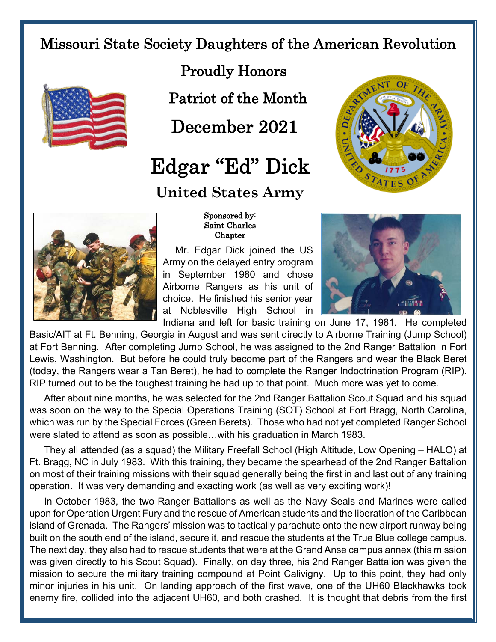## Missouri State Society Daughters of the American Revolution



Proudly Honors

Patriot of the Month

December 2021

## Edgar "Ed" Dick

## **United States Army**





 Sponsored by: Saint Charles **Chapter** 

Mr. Edgar Dick joined the US Army on the delayed entry program in September 1980 and chose Airborne Rangers as his unit of choice. He finished his senior year at Noblesville High School in



Indiana and left for basic training on June 17, 1981. He completed Basic/AIT at Ft. Benning, Georgia in August and was sent directly to Airborne Training (Jump School) at Fort Benning. After completing Jump School, he was assigned to the 2nd Ranger Battalion in Fort Lewis, Washington. But before he could truly become part of the Rangers and wear the Black Beret (today, the Rangers wear a Tan Beret), he had to complete the Ranger Indoctrination Program (RIP). RIP turned out to be the toughest training he had up to that point. Much more was yet to come.

After about nine months, he was selected for the 2nd Ranger Battalion Scout Squad and his squad was soon on the way to the Special Operations Training (SOT) School at Fort Bragg, North Carolina, which was run by the Special Forces (Green Berets). Those who had not yet completed Ranger School were slated to attend as soon as possible…with his graduation in March 1983.

They all attended (as a squad) the Military Freefall School (High Altitude, Low Opening – HALO) at Ft. Bragg, NC in July 1983. With this training, they became the spearhead of the 2nd Ranger Battalion on most of their training missions with their squad generally being the first in and last out of any training operation. It was very demanding and exacting work (as well as very exciting work)!

In October 1983, the two Ranger Battalions as well as the Navy Seals and Marines were called upon for Operation Urgent Fury and the rescue of American students and the liberation of the Caribbean island of Grenada. The Rangers' mission was to tactically parachute onto the new airport runway being built on the south end of the island, secure it, and rescue the students at the True Blue college campus. The next day, they also had to rescue students that were at the Grand Anse campus annex (this mission was given directly to his Scout Squad). Finally, on day three, his 2nd Ranger Battalion was given the mission to secure the military training compound at Point Calivigny. Up to this point, they had only minor injuries in his unit. On landing approach of the first wave, one of the UH60 Blackhawks took enemy fire, collided into the adjacent UH60, and both crashed. It is thought that debris from the first